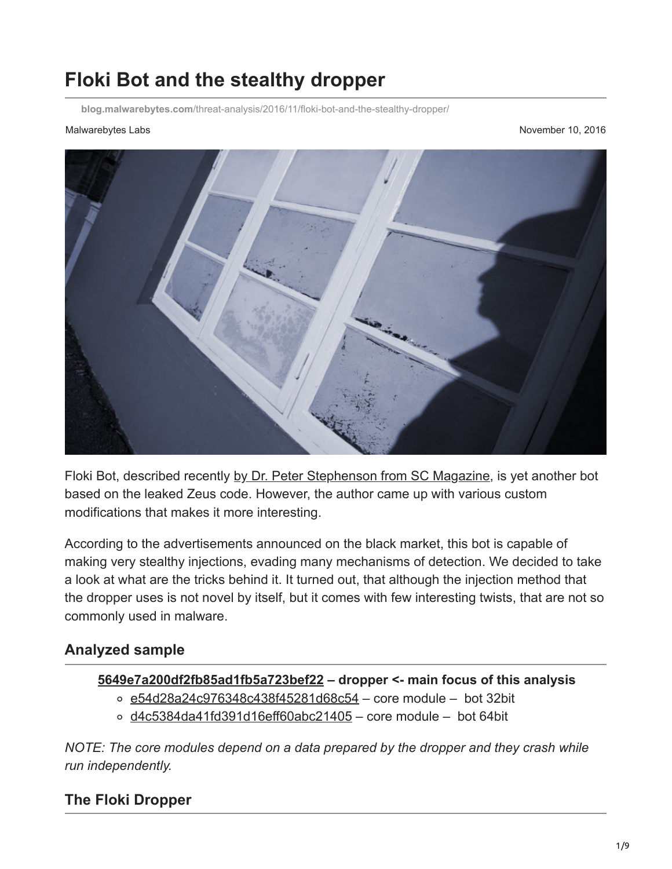# **Floki Bot and the stealthy dropper**

**blog.malwarebytes.com**[/threat-analysis/2016/11/floki-bot-and-the-stealthy-dropper/](https://blog.malwarebytes.com/threat-analysis/2016/11/floki-bot-and-the-stealthy-dropper/)

Malwarebytes Labs **November 10, 2016** November 10, 2016



Floki Bot, described recently [by Dr. Peter Stephenson from SC Magazine](https://www.scmagazine.com/floki-bot--a-zeus-wannabe-with-delusions-of-grandeur/article/569329/), is yet another bot based on the leaked Zeus code. However, the author came up with various custom modifications that makes it more interesting.

According to the advertisements announced on the black market, this bot is capable of making very stealthy injections, evading many mechanisms of detection. We decided to take a look at what are the tricks behind it. It turned out, that although the injection method that the dropper uses is not novel by itself, but it comes with few interesting twists, that are not so commonly used in malware.

#### **Analyzed sample**

#### **[5649e7a200df2fb85ad1fb5a723bef22](https://www.virustotal.com/en/file/5e1967db286d886b87d1ec655559b9af694fc6e002fea3a6c7fd3c6b0b49ea6e/analysis/) – dropper <- main focus of this analysis**

- $\circ$  [e54d28a24c976348c438f45281d68c54](https://www.virustotal.com/en/file/5d2ee0440314f7229a126baa152e43473d771591e818f8317275c175fd888f23/analysis/1478618090/) core module bot 32bit
- $\circ$  [d4c5384da41fd391d16eff60abc21405](https://www.virustotal.com/en/file/0522bfea61ab0db154cde9c1217c90547bd46ba1be0fc6a17bfb4b52e8241a63/analysis/1478618112/)  core module bot 64bit

*NOTE: The core modules depend on a data prepared by the dropper and they crash while run independently.*

### **The Floki Dropper**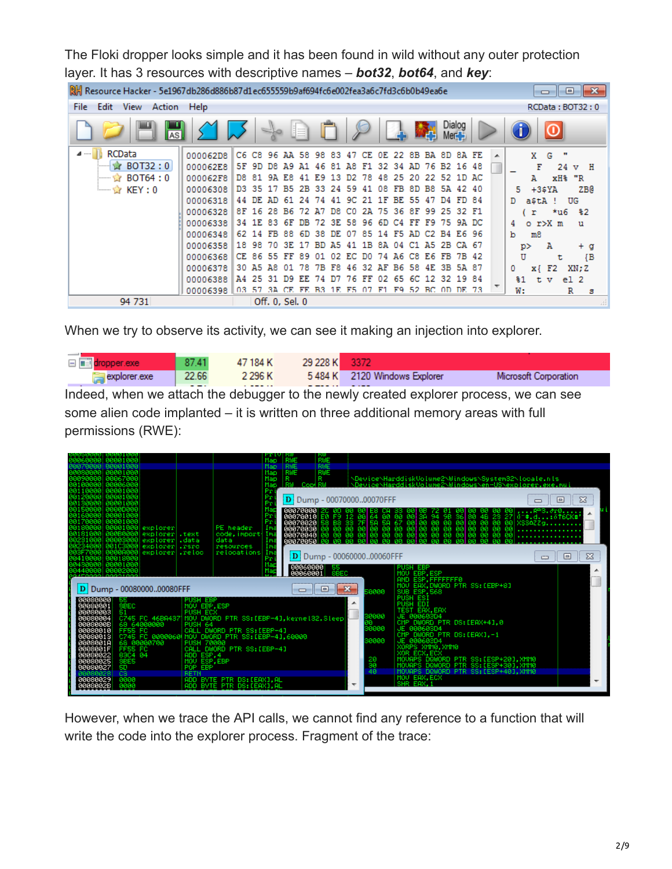The Floki dropper looks simple and it has been found in wild without any outer protection layer. It has 3 resources with descriptive names – *bot32*, *bot64*, and *key*:

| Resource Hacker - 5e1967db286d886b87d1ec655559b9af694fc6e002fea3a6c7fd3c6b0b49ea6e<br>$-23$<br>▣<br><b>. .</b> |          |       |                   |     |                |           |           |       |       |     |     |           |     |             |      |                   |    |   |    |       |            |        |              |       |
|----------------------------------------------------------------------------------------------------------------|----------|-------|-------------------|-----|----------------|-----------|-----------|-------|-------|-----|-----|-----------|-----|-------------|------|-------------------|----|---|----|-------|------------|--------|--------------|-------|
| Help<br>Edit<br>View<br>Action<br>File<br>RCData: BOT32: 0                                                     |          |       |                   |     |                |           |           |       |       |     |     |           |     |             |      |                   |    |   |    |       |            |        |              |       |
| AS                                                                                                             |          |       |                   |     |                |           |           |       |       |     |     |           |     | W.          |      | Dialog<br>$Mer +$ |    |   |    |       |            |        |              |       |
| RCData<br>⊿ ……                                                                                                 | 000062D8 |       | C6 C8             | 96  | ΆA             | 58        | 98        | 83    | 47    | CЕ  | OE. | 22        | 8B. | вA          | - 8D | 8A FE             |    | ∸ |    | X.    | G          |        |              |       |
| $\approx$ BOT32:0                                                                                              | 000062E8 | 5F    | 9D.               | D8. | <b>A9</b>      | <b>A1</b> | 46        | 81    | АR    | F1  | 32. | 34        | AD. |             |      | 76 B2 16 48       |    |   |    |       | F          | 24     | $\mathbf{v}$ | H     |
| ☆ BOT64 : 0<br>:                                                                                               | 000062F8 | D8.   | -81               | 9A  | E8             | 41        | E9.       | 13    | D2    | 78  | 48  | 25        | 20  |             |      | 22 52 1D AC       |    |   |    | А     |            | xH% "R |              |       |
| $\longrightarrow K EY:0$                                                                                       | 00006308 |       | D <sub>3</sub> 35 | 17  | B5.            | 2B        | 33        | 24    | - 59  | 41  | 08  | FB.       | 8D  | B8.         |      | 5A 42 40          |    |   | 5. |       | $+35YA$    |        |              | ZB@   |
|                                                                                                                | 00006318 | 44    | DE.               | AD. | 61             | 24        | 74        | 41    | -90   |     | 1 F | BE.       | 55. | 47          | D4.  | FD 84             |    |   | D  |       | astA !     |        | UG           |       |
|                                                                                                                | 00006328 | 8F.   | 16                | 28. | <b>B6</b>      | 72        | <b>A7</b> | D8.   | C0    | 2A  | 75. | -36       | 8F  | 99          |      | 25 32 F1          |    |   |    | r     |            | *u6    | -82          |       |
|                                                                                                                | 00006338 | 34    | 1 F.              | 83. | 6F             | DB        | 72        |       | 3E 58 | -96 | 6D. | C4        | FF  | F9.         |      | 75 9A DC          |    |   | 4  |       | o r>X m    |        | u            |       |
|                                                                                                                | 00006348 | 62.   | -14               | FB. | 88.            | -6D       | 38.       | DE 07 |       | 85. |     | 14 F5 AD  |     | C2 B4 E6 96 |      |                   |    |   | b  | m8    |            |        |              |       |
|                                                                                                                | 00006358 |       | 18 98             | 70  | 3E             | 17        | BD        | A5.   | -41   | 1B  |     | 8A 04     | C1  | A5 2B       |      | CA 67             |    |   |    | p>    | А          |        |              | + g   |
|                                                                                                                | 00006368 |       | CE 86 55          |     | FF             | 89        | 01        | 02    | E.C.  | D0. | 74  | A6        | C8. | E6          | FB   | 7B 42             |    |   |    | U     |            | τ      |              | ${ }$ |
|                                                                                                                | 00006378 | 30 A5 |                   | A8  | 01             | 78        | 7В        | F8.   | 46    | 32  | ΆF  | <b>B6</b> | 58  | 4E          |      | 3B 5A 87          |    |   | 0  |       | $x \in F2$ |        | XN: Z        |       |
|                                                                                                                | 00006388 | A4    | 25                | 31  | D9.            | <b>KK</b> |           |       |       | FЕ  |     | 65        | 6C  | 12          | 32   | 19                | 84 |   |    | $\$1$ | t.<br>v    |        | e12          |       |
|                                                                                                                | 00006398 | 03.   | 57                | 3A  |                |           |           | 1 F.  | F5    |     | F1  | F9        | 52  | BC OD DE 73 |      |                   |    |   |    | W:    |            |        | R            | s     |
| 94 731                                                                                                         |          |       |                   |     | Off. 0, Sel. 0 |           |           |       |       |     |     |           |     |             |      |                   |    |   |    |       |            |        |              |       |

When we try to observe its activity, we can see it making an injection into explorer.

|              | 87.41        | 47 184 K       | 29 228 K |                                      |                       |
|--------------|--------------|----------------|----------|--------------------------------------|-----------------------|
| explorer.exe | 22.66<br>--- | 2 2 9 6 K<br>. | -----    | 5484 K 2120 Windows Explorer<br>---- | Microsoft Corporation |

Indeed, when we attach the debugger to the newly created explorer process, we can see some alien code implanted – it is written on three additional memory areas with full permissions (RWE):

| 1200001 00001000<br>00001000                                                                                                            | RUE<br>Map<br>Map.<br>RWE<br>RUE                                                                                                                                                                                                                                                                      |                                                                                                                                                                                     |
|-----------------------------------------------------------------------------------------------------------------------------------------|-------------------------------------------------------------------------------------------------------------------------------------------------------------------------------------------------------------------------------------------------------------------------------------------------------|-------------------------------------------------------------------------------------------------------------------------------------------------------------------------------------|
| 00001000<br>00067000                                                                                                                    | <b>RWE</b><br><b>RUE</b><br>Map.<br>R<br>Map<br>Map<br>Copt                                                                                                                                                                                                                                           | \Device\HarddiskVoiume2\Windows\System32\locale.nls<br>\Device\HarddiskVolume2\Windows\en-US\explorer.exe.mui                                                                       |
|                                                                                                                                         | Pı<br>Pı<br>D   Dump - 0007000000070FFF<br>Pτ<br>Ma<br>00070000 20                                                                                                                                                                                                                                    | $\Sigma$<br>回                                                                                                                                                                       |
| explorer<br>explorer text<br>explorer data                                                                                              | Pr<br>øø<br>00070010 E0<br>00070020 58<br>00070030 00<br>00070040 00<br>12<br>64<br>F9<br>-60<br>0Ø.<br>øø<br>Pr<br>33<br>58 67<br>00 00<br>88<br>88<br>00<br>58<br>7F<br>PE header<br>Ima<br>ØØ<br>-90<br>øø<br>code, import-<br>Ima<br>øā<br>øø<br>ØØ.<br>ñй<br>80<br>80<br>data<br>Ima<br>00070050 | 器<br>94<br>98<br>36<br>80<br>4B 23 27 0 *. d. : 616CK#<br>888<br>90<br>88<br>00<br>90<br>00 00<br>00<br>00<br>00<br>-99<br>XSS6ZZq<br>ØØ<br>88<br>90<br><b>ØØ</b><br>88.88<br>00 00 |
| 98103988<br>explorer sro<br>explorer reloc<br>00000000<br>0410000 00018000<br>0430000 00001000                                          | Ima<br>resources<br>relocations<br>Ima<br><b>D</b>   Dump - 0006000000060FFF<br>Pr                                                                                                                                                                                                                    | $\Sigma$<br>▣<br>$\Box$                                                                                                                                                             |
| staggel gogain<br>Dump - 0008000000080FFF                                                                                               | $\frac{000600000}{000600001}$<br><b>PUSH EBP</b><br>-55<br><b>SBEC</b><br>MOU EBP, ESP<br>$\mathbf{x}$<br>$\Box$<br>$\Box$<br>50000<br>SUB ESP, 568                                                                                                                                                   | AND ESP, FFFFFFF6<br>MOV EAX, DWORD PTR SS: [EBP+8]                                                                                                                                 |
| 00080000<br><b>PUSH EBP</b><br>55.<br>90080901<br><b>SBEC</b><br>MOU EBP.ESP<br>66080663<br><b>PUSH ECX</b><br>51                       | <b>PUSH ESI</b><br>PUSH EDI<br>▴<br>30000<br>JE 000603D4                                                                                                                                                                                                                                              | TEST EAX, EAX                                                                                                                                                                       |
| 00080004<br>0008000B<br>68 64000000<br>PUSH 64<br>00080010<br>FFSS FC<br>C745 FC 0000060 MOV DWORD PTR SS: LEBP-41,60000<br>00080013    | C745 FC 46BA437 MOV DWORD PTR SS: [EBP-4], kerne132. Sleep<br>CM <sub>P</sub><br>30000<br>JE 00060SD4<br>CALL DWORD PTR SS: [EBP-4]                                                                                                                                                                   | DWORD PTR DS: [EAX+4],0<br>DWORD PTR DS:[EAX],-1                                                                                                                                    |
| 0008001A<br>68 00000700<br><b>PUSH 70000</b><br>0008001F<br>FF55 FC<br>83C4 84<br>88888822<br>ADD ESP, 4<br>MOV ESP, EBP<br><b>SBES</b> | 30000<br>JE 000603D4<br>CALL DWORD PTR SS: [EBP-4]<br>XOR ECX, ECX                                                                                                                                                                                                                                    | XORPS XMM0, XMM0<br>MOVAPS DQWORD PTR SS:[ESP+20],XMM0                                                                                                                              |
| 00080027<br>5D<br>POP EBP<br>cз<br>RETI<br>00080029<br>0000<br>0008002B<br>8888                                                         | 20<br>40<br>MOU EAX, ECX<br>ADD BYTE PTR DS:[EAX], AL<br><b>SHR</b><br>FON<br>$\overline{\phantom{a}}$<br>ADD BYTE PTR DS: [EAX], AL                                                                                                                                                                  | MOVAPS DQWORD PTR SS: [ESP+30], XMM0<br>MOVAPS DQWORD PTR SS: [ESP+40], XMM0                                                                                                        |
|                                                                                                                                         |                                                                                                                                                                                                                                                                                                       |                                                                                                                                                                                     |

However, when we trace the API calls, we cannot find any reference to a function that will write the code into the explorer process. Fragment of the trace: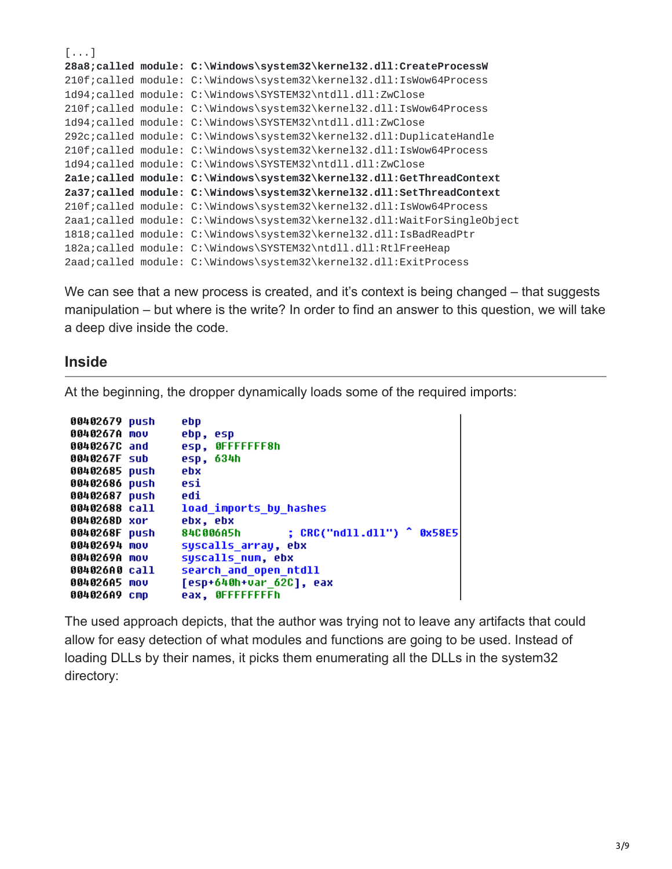```
[...]
28a8;called module: C:\Windows\system32\kernel32.dll:CreateProcessW
210f;called module: C:\Windows\system32\kernel32.dll:IsWow64Process
1d94;called module: C:\Windows\SYSTEM32\ntdll.dll:ZwClose
210f;called module: C:\Windows\system32\kernel32.dll:IsWow64Process
1d94;called module: C:\Windows\SYSTEM32\ntdll.dll:ZwClose
292c;called module: C:\Windows\system32\kernel32.dll:DuplicateHandle
210f;called module: C:\Windows\system32\kernel32.dll:IsWow64Process
1d94;called module: C:\Windows\SYSTEM32\ntdll.dll:ZwClose
2a1e;called module: C:\Windows\system32\kernel32.dll:GetThreadContext
2a37;called module: C:\Windows\system32\kernel32.dll:SetThreadContext
210f;called module: C:\Windows\system32\kernel32.dll:IsWow64Process
2aa1;called module: C:\Windows\system32\kernel32.dll:WaitForSingleObject
1818;called module: C:\Windows\system32\kernel32.dll:IsBadReadPtr
182a;called module: C:\Windows\SYSTEM32\ntdll.dll:RtlFreeHeap
2aad;called module: C:\Windows\system32\kernel32.dll:ExitProcess
```
We can see that a new process is created, and it's context is being changed – that suggests manipulation – but where is the write? In order to find an answer to this question, we will take a deep dive inside the code.

#### **Inside**

At the beginning, the dropper dynamically loads some of the required imports:

```
00402679 push
                 ebp
                 ebp, esp
0040267A mov
                 esp, OFFFFFFF8h
0040267C and
                 esp, 634h
0040267F sub
00402685 push
                 ebx
00402686 push
                 esi
00402687 push
                 edi
                 load imports by hashes
00402688 call
                 ebx, ebx
0040268D xor
                                  : CRC("ndll.dll") ^ 0x58E5
0040268F push
                 84C006A5h
00402694 mou
                 syscalls_array, ebx
0040269A mov
                 syscalls num, ebx
                 search and open ntdll
004026A0 call
004026A5 mov
                 [esp+640h+var 62C], eax
004026A9 cmp
                 eax, OFFFFFFFFh
```
The used approach depicts, that the author was trying not to leave any artifacts that could allow for easy detection of what modules and functions are going to be used. Instead of loading DLLs by their names, it picks them enumerating all the DLLs in the system32 directory: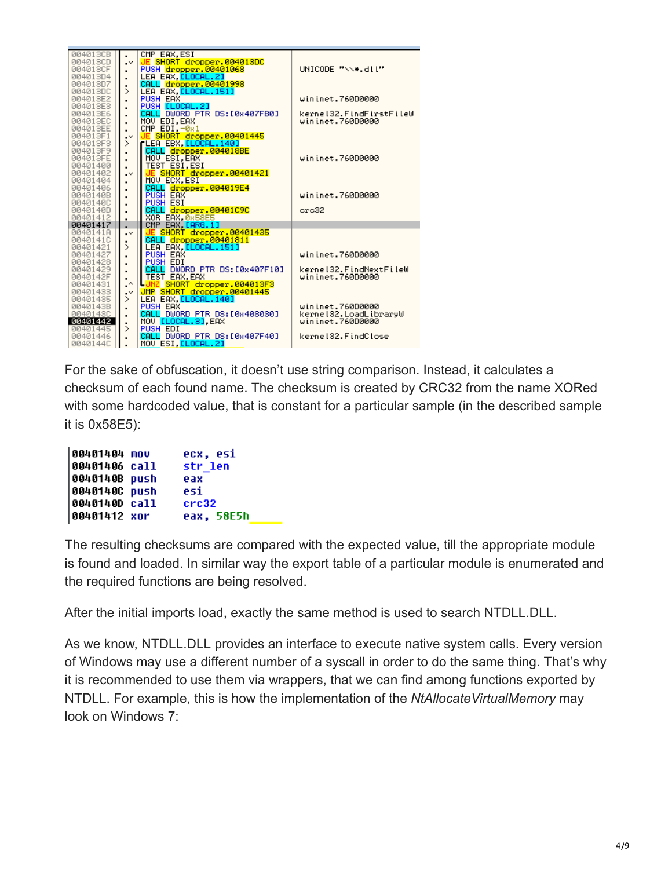| 004013CB      |                  | CMP EAX.ESI                        |                         |
|---------------|------------------|------------------------------------|-------------------------|
| 004013CD      | $\cdot$          | JE SHORT dropper.004013DC          |                         |
| 004013CF      |                  | PUSH dropper.00401068              | UNICODE "\\*.dll"       |
|               |                  |                                    |                         |
| 004013D4      |                  | LEA EAX, <mark>[LOCAL.2]</mark>    |                         |
| 004013D7      | ٠                | CALL dropper.00401998              |                         |
| 004013DC      | $\mathcal{P}$    | LEA EAX, LLOCAL. 151]              |                         |
| 004013E2      | $\blacksquare$   | PUSH EAX                           | wininet.760D0000        |
| 004013E3      | $\blacksquare$   | PUSH [LOCAL.2]                     |                         |
| 004013E6      |                  | DWORD PTR DS: [0x407FB0]<br>CALL.  | kernel32.FindFirstFileW |
| 004013EC      |                  |                                    | wininet.760D0000        |
|               | $\blacksquare$   | MOV EDI, EAX                       |                         |
| 004013EE      |                  | <u>CMP EDI,-0x1</u>                |                         |
| 004013F1      | $\cdot$          | JE SHORT dropper.00401445          |                         |
| 004013F3      | ⋋                | rLEA EBX, <mark>[LOCAL.140]</mark> |                         |
| 004013F9      |                  | CALL dropper.004018BE              |                         |
| 004013FE      |                  | MOV ESI, EAX                       | wininet.760D0000        |
| 00401400      |                  | <u>TEST ESI, ESI</u>               |                         |
|               |                  |                                    |                         |
| 00401402      | $\cdot$          | SHORT dropper.00401421<br>JE       |                         |
| 00401404      | $\blacksquare$   | MOU ECX, ESI                       |                         |
| 00401406      |                  | CALL dropper.004019E4              |                         |
| 0040140B      | $\blacksquare$   | <b>PUSH EAX</b>                    | wininet.760D0000        |
| 0040140C      | $\blacksquare$   | <b>PUSH ESI</b>                    |                         |
| 0040140D      | $\blacksquare$   | dropper.00401C9C<br>CALL           | ere32                   |
| 00401412      |                  | XOR EAX 0858E5                     |                         |
| 00401417      | $\blacksquare$   |                                    |                         |
|               | ٠                | CMP EAX LARG.1]                    |                         |
| 0040141A      | $\cdot$          | JE SHORT dropper.00401435          |                         |
| 0040141C      |                  | CALL dropper.00401811              |                         |
| 00401421      | $\mathcal{P}$    | LEA EAX. <mark>[LOCAL.151]</mark>  |                         |
| 00401427      | ٠                | PUSH EAX                           | wininet.760D0000        |
| 00401428      | $\blacksquare$   | PUSH EDI                           |                         |
| 00401429      |                  | DWORD PTR DS: [0x407F10]<br>CALL   | kernel32.FindNextFileW  |
|               |                  |                                    | wininet.760D0000        |
| 0040142F      |                  | TEST EAX, EAX                      |                         |
| 00401431      | $\cdot^{\wedge}$ | SHORT dropper.004013F3             |                         |
| 00401433      | $\cdot$          | JMP SHORT dropper.00401445         |                         |
| 00401435      | ⋋                | LEA EAX, [LOCAL. 140]              |                         |
| 0040143B      |                  | PUSH EAX                           | wininet.760D0000        |
| 00401430      |                  | CALL DWORD PTR DS: [0x408030]      | kernel32.LoadLibraryW   |
| 00401442      |                  | MOV [LOCAL.3].EAX                  | wininet.760D0000        |
|               | ٠                | PUSH EDI                           |                         |
|               |                  |                                    |                         |
| 00401445      | ⋟                |                                    |                         |
| 00401446      | $\blacksquare$   | CALL DWORD PTR DS:[0x407F40]       | kernel32.FindClose      |
| 0040144C<br>I |                  | MOV ESI, <mark>[LOCAL.2]</mark>    |                         |

For the sake of obfuscation, it doesn't use string comparison. Instead, it calculates a checksum of each found name. The checksum is created by CRC32 from the name XORed with some hardcoded value, that is constant for a particular sample (in the described sample it is 0x58E5):

| 00401404 mov  | ecx, esi   |
|---------------|------------|
| 00401406 call | str len    |
| 0040140B push | eax        |
| 0040140C push | esi        |
| 0040140D call | crc32      |
| 00401412 xor  | eax, 58E5h |

The resulting checksums are compared with the expected value, till the appropriate module is found and loaded. In similar way the export table of a particular module is enumerated and the required functions are being resolved.

After the initial imports load, exactly the same method is used to search NTDLL.DLL.

As we know, NTDLL.DLL provides an interface to execute native system calls. Every version of Windows may use a different number of a syscall in order to do the same thing. That's why it is recommended to use them via wrappers, that we can find among functions exported by NTDLL. For example, this is how the implementation of the *NtAllocateVirtualMemory* may look on Windows 7: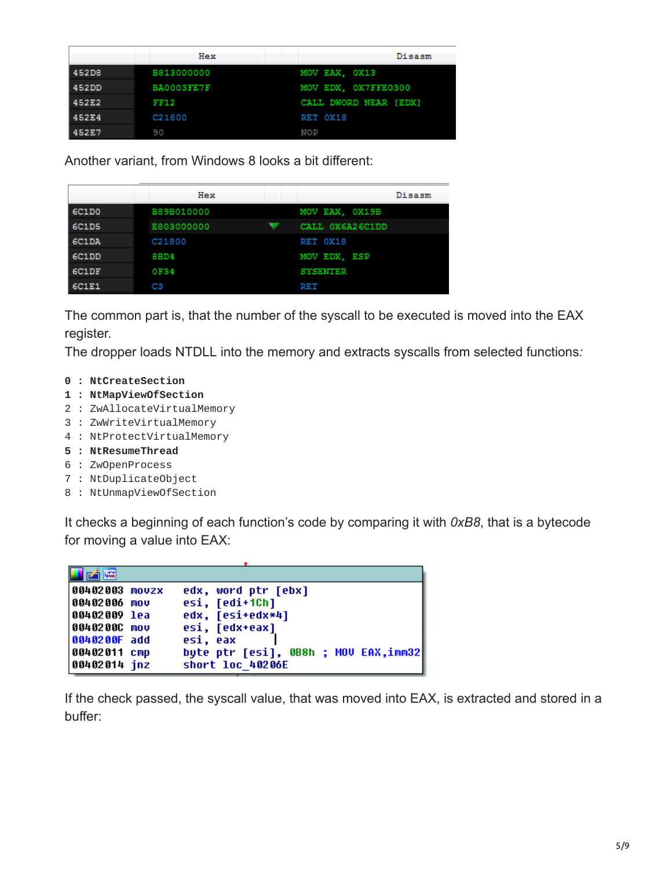|       | Hex        | Disasm                |
|-------|------------|-----------------------|
| 452D8 | B813000000 | MOV EAX, OX13         |
| 452DD | BA0003FE7F | MOV EDX, OX7FFE0300   |
| 452E2 | FF12       | CALL DWORD NEAR [EDX] |
| 452E4 | C21800     | RET OX18              |
| 452E7 | 90         | <b>NOP</b>            |

Another variant, from Windows 8 looks a bit different:

|       | Hex        | Disasm          |
|-------|------------|-----------------|
| 6C1D0 | B89B010000 | MOV EAX, OX19B  |
| 6C1D5 | E803000000 | CALL OX6A26C1DD |
| 6C1DA | C21800     | RET OX18        |
| 6C1DD | 8BD4       | MOV EDX, ESP    |
| 6C1DF | 0F34       | <b>SYSENTER</b> |
| 6C1E1 | CЗ         | RET             |

The common part is, that the number of the syscall to be executed is moved into the EAX register.

The dropper loads NTDLL into the memory and extracts syscalls from selected functions*:*

- **0 : NtCreateSection**
- **1 : NtMapViewOfSection**
- 2 : ZwAllocateVirtualMemory
- 3 : ZwWriteVirtualMemory
- 4 : NtProtectVirtualMemory
- **5 : NtResumeThread**
- 6 : ZwOpenProcess
- 7 : NtDuplicateObject
- 8 : NtUnmapViewOfSection

It checks a beginning of each function's code by comparing it with *0xB8*, that is a bytecode for moving a value into EAX:

| 凶降                                            |                                                          |
|-----------------------------------------------|----------------------------------------------------------|
| 00402003 movzx<br> 00402006 mov               | edx, word ptr [ebx]<br>esi, [edi+1Ch]                    |
| 00402009 lea<br> 0040200C mov<br>0040200F add | edx, [esi+edx*4]<br>esi, [edx+eax]<br>esi, eax           |
| 00402011 cmp<br>00402014 inz                  | byte ptr [esi], 0B8h ; MOV EAX,imm32<br>short loc 40206E |

If the check passed, the syscall value, that was moved into EAX, is extracted and stored in a buffer: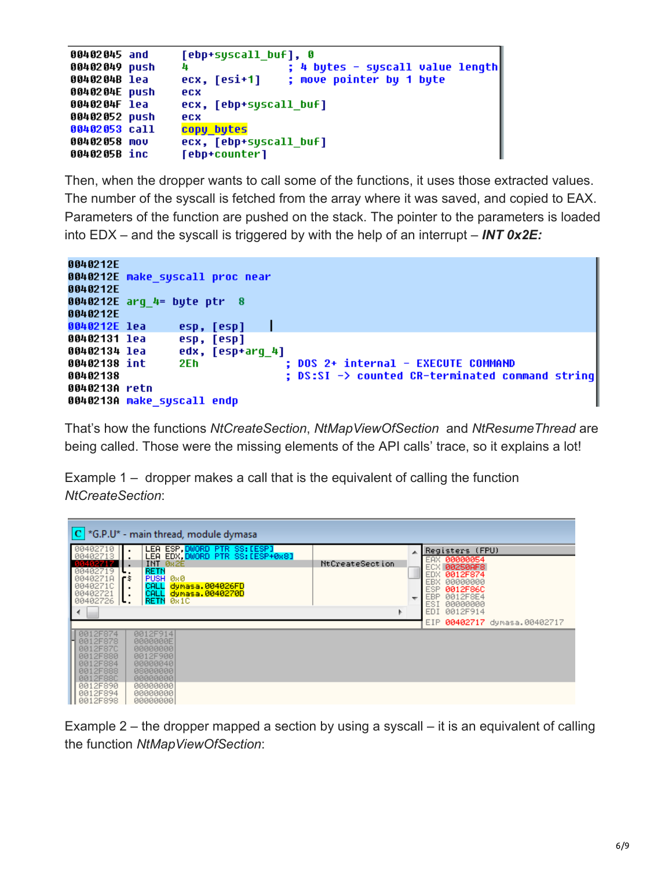```
00402045 and
                 [ebp+syscall buf], 0
00402049 push
                 п
                                  ; 4 bytes - syscall value length
                                  ; move pointer by 1 byte
0040204B lea
                 ecx, [esi+1]
0040204E push
                 ecx
                 ecx, [ebp+syscall buf]
0040204F lea
00402052 push
                 ecx
00402053 call
                 copy bytes
00402058 mov
                 ecx, [ebp+syscall buf]
0040205B inc
                 [ebp+counter]
```
Then, when the dropper wants to call some of the functions, it uses those extracted values. The number of the syscall is fetched from the array where it was saved, and copied to EAX. Parameters of the function are pushed on the stack. The pointer to the parameters is loaded into EDX – and the syscall is triggered by with the help of an interrupt – *INT 0x2E:*

```
0040212E
0040212E make syscall proc near
0040212E
0040212E arq 4= byte ptr 8
0040212E
0040212E lea
                 esp, [esp]
00402131 lea
                 esp, [esp]
00402134 lea
                 edx, [esp+arg_4]
                                  ; DOS 2+ internal - EXECUTE COMMAND
00402138 int
                 2Eh.
00402138
                                  ; DS:SI -> counted CR-terminated command strinq
0040213A retn
0040213A make_syscall endp
```
That's how the functions *NtCreateSection*, *NtMapViewOfSection* and *NtResumeThread* are being called. Those were the missing elements of the API calls' trace, so it explains a lot!

Example 1 – dropper makes a call that is the equivalent of calling the function *NtCreateSection*:

| $ C $ *G.P.U* - main thread, module dymasa                                                                                                                                                                                                  |                 |                                                                                                                       |  |  |  |  |  |  |  |  |  |  |
|---------------------------------------------------------------------------------------------------------------------------------------------------------------------------------------------------------------------------------------------|-----------------|-----------------------------------------------------------------------------------------------------------------------|--|--|--|--|--|--|--|--|--|--|
| LEA ESP, DWORD PTR SS: LESPI<br>00402710<br>00402713<br>LEA EDX. DWORD PTR SS: [ESP+0x8]<br>INT 0x2E<br>00402719<br><b>RETN</b><br>PUSH 0x0<br>0040271A<br>ГŚ<br>CALL dynasa.004026FD<br>0040271C<br>CALL dynasa.0040270D<br>00402721<br>ι. | NtCreateSection | Registers (FPU)<br>00000054<br>EAX.<br>ECX 00250AF8<br>0012F874<br>EDX.<br><b>EBX</b><br>00000000<br>0012F86C<br>ESP. |  |  |  |  |  |  |  |  |  |  |
| RETN 081C<br>00402726<br>ι.                                                                                                                                                                                                                 |                 | EBP.<br>0012F8E4<br>ESI.<br>00000000<br>EDI.<br>0012F914<br>EIP 00402717 dymasa.00402717                              |  |  |  |  |  |  |  |  |  |  |
| 0012F914<br>0012F874<br>H 0012F878<br>0000000E<br>0012F87C<br>00000000<br>0012F900<br>0012F880<br>0012F884<br>00000040<br>0012F888<br>08000000<br>0012F88C<br>00000000                                                                      |                 |                                                                                                                       |  |  |  |  |  |  |  |  |  |  |
| 0012F890<br>00000000<br>0012F894<br>00000000<br>0012F898<br>00000000                                                                                                                                                                        |                 |                                                                                                                       |  |  |  |  |  |  |  |  |  |  |

Example 2 – the dropper mapped a section by using a syscall – it is an equivalent of calling the function *NtMapViewOfSection*: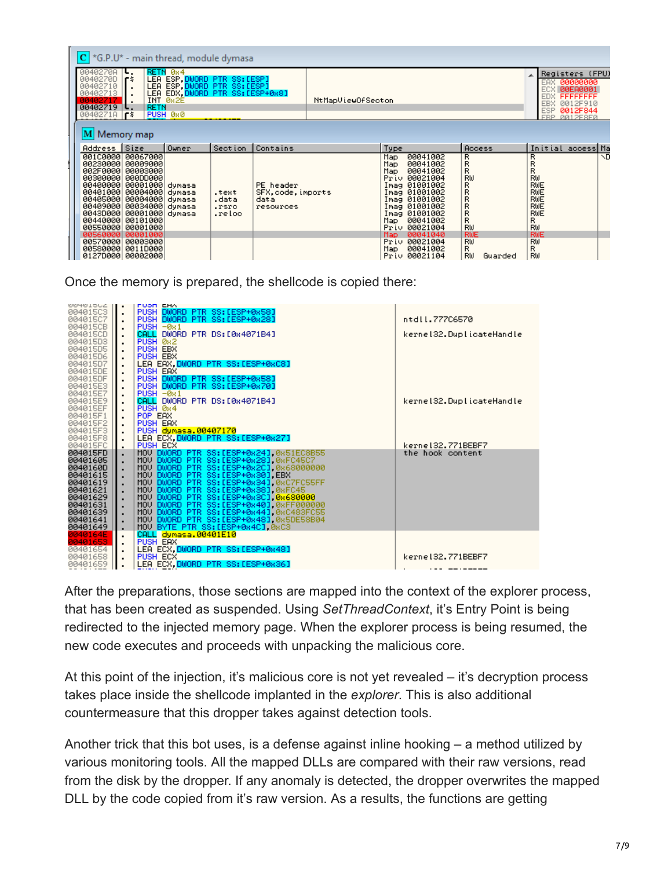| $\mathsf{C}$ *G.P.U* - main thread, module dymasa                                                                                                                                                                                                                                                  |                                                                                  |                                                |                                   |                                                      |  |                                                                                                                                                                                                                                                                                |                                                                                                                         |                                                                                        |                                                                                                                     |  |    |  |
|----------------------------------------------------------------------------------------------------------------------------------------------------------------------------------------------------------------------------------------------------------------------------------------------------|----------------------------------------------------------------------------------|------------------------------------------------|-----------------------------------|------------------------------------------------------|--|--------------------------------------------------------------------------------------------------------------------------------------------------------------------------------------------------------------------------------------------------------------------------------|-------------------------------------------------------------------------------------------------------------------------|----------------------------------------------------------------------------------------|---------------------------------------------------------------------------------------------------------------------|--|----|--|
| RETN 084<br>00402708<br>∣⊾.<br>LEA ESP.DWORD PTR SS:[ESP]<br>LEA ESP.DWORD PTR SS:[ESP]<br>0040270D<br>l F S<br>00402710<br>LEA EDX. DWORD PTR SS: [ESP+0x8]<br>00402713<br>INT 0x2E<br>NtMapViewOfSecton<br>00402717<br>00402719<br><b>RETN</b><br>PUSH 0x0<br>$00402710$   $\pm$<br>M Memory map |                                                                                  |                                                |                                   |                                                      |  |                                                                                                                                                                                                                                                                                |                                                                                                                         |                                                                                        | Registers (FPU)<br>EAX 00000000<br>ECX 00EA0001<br>EDX FFFFFFFF<br>EBX 0012F910<br>ESP.<br>0012F844<br>FRP 0012F8F0 |  |    |  |
| Address Size                                                                                                                                                                                                                                                                                       |                                                                                  | Owner                                          | Section                           | <b>Contains</b>                                      |  | Type                                                                                                                                                                                                                                                                           | <b>Access</b>                                                                                                           |                                                                                        | Initial access Ma                                                                                                   |  |    |  |
| 001C0000 00067000<br>00230000  00009000<br>002F00001<br>00300000  000DD000<br>00400000<br>00401000<br>00405000<br>004090001<br>0043D000<br>00440000<br>00550000 00001000<br>00560000 00001000<br>00570000 00003000<br>00580000 0011D000<br>0127D000 00002000                                       | 00003000<br>00001000<br>00004000<br>00004000<br>00034000<br>00001000<br>00101000 | dynasa<br>dynasa<br>dynasa<br>dynasa<br>dynasa | .text<br>.data<br>.rsrc<br>.reloc | PE header<br>SFX, code, imports<br>data<br>resources |  | 00041002<br>Map<br>00041002<br>Map i<br>00041002<br>Map.<br>Priv 00021004<br>Imag 01001002<br>Imag 01001002<br>Imag 01001002<br>Imag 01001002<br>Imag 01001002<br>00041002<br>Map i<br>Priv 00021004<br>Map.<br>00041040<br>Priv 00021004<br>00041002<br>Map.<br>Priv 00021104 | R<br>R<br>R<br>RW<br>R<br>$_{\rm R}^{\rm R}$<br>$_{\rm R}^{\rm R}$<br>R<br>RW<br><b>RWE</b><br>RW<br>R<br>RW<br>Guarded | RRR<br>RW<br>RWE<br>RWE<br>RWE<br>RWE<br>RWE<br>R<br>RW<br><b>RWE</b><br>RW<br>R<br>RW |                                                                                                                     |  | ND |  |

Once the memory is prepared, the shellcode is copied there:

| <b>66461905</b> | <b>FUOR EMA</b><br>$\blacksquare$                                                                                                                                                                                                             |                          |
|-----------------|-----------------------------------------------------------------------------------------------------------------------------------------------------------------------------------------------------------------------------------------------|--------------------------|
| 004015C3        | PUSH DWORD PTR SS: [ESP+0x58]<br>٠                                                                                                                                                                                                            |                          |
| 00401507        | PUSH DWORD PTR SS: [ESP+0x28]<br>٠                                                                                                                                                                                                            | ntdll.777C6570           |
| 004015CB        | $PUSH = 0 \times 1$                                                                                                                                                                                                                           |                          |
| 004015CD        | CALL DWORD PTR DS: [0x4071B4]                                                                                                                                                                                                                 | kernel32.DuplicateHandle |
| 004015D3        | PUSH 0x2<br>٠                                                                                                                                                                                                                                 |                          |
| 004015D5        | PUSH EBX<br>٠                                                                                                                                                                                                                                 |                          |
| 004015D6        | PUSH EBX                                                                                                                                                                                                                                      |                          |
| 004015D7        | LEA EAX. DWORD PTR SS: [ESP+0xC8]                                                                                                                                                                                                             |                          |
| 004015DE        | PUSH EAX<br>٠                                                                                                                                                                                                                                 |                          |
| 004015DF        | PUSH DWORD PTR SS: [ESP+0x58]                                                                                                                                                                                                                 |                          |
| 004015E3        | PUSH DWORD PTR SS: [ESP+0x70]<br>$\cdot$                                                                                                                                                                                                      |                          |
| 004015E7        | $PUSH = 0 \times 1$                                                                                                                                                                                                                           |                          |
| 004015E9        | CALL DWORD PTR DS:[0x4071B4]                                                                                                                                                                                                                  | kernel32.DuplicateHandle |
| 004015EF        | PUSH 0x4                                                                                                                                                                                                                                      |                          |
| 004015F1        | POP EAX                                                                                                                                                                                                                                       |                          |
| 004015F2        | PUSH EAX<br>٠                                                                                                                                                                                                                                 |                          |
| 004015F3        | PUSH dynasa.00407170                                                                                                                                                                                                                          |                          |
| 004015F8        | LEA ECX.DWORD PTR SS: [ESP+0x27]                                                                                                                                                                                                              |                          |
| 004015FC        | PUSH ECX<br>٠                                                                                                                                                                                                                                 | kerne132.771BEBF7        |
| 004015FD        | MOV DWORD PTR SS:[ESP+0x24],0x51EC8B55<br>MOV DWORD PTR SS:[ESP+0x28],0xFC45C7<br>MOV DWORD PTR SS:[ESP+0x2C],0x68000000                                                                                                                      | the hook content         |
| 00401605        |                                                                                                                                                                                                                                               |                          |
| 0040160D        |                                                                                                                                                                                                                                               |                          |
| 00401615        | MOV DWORD PTR SS: [ESP+0x30] EBX                                                                                                                                                                                                              |                          |
| 00401619        | MOV DWORD PTR SS: [ESP+0x34] 0xC7FC55FF                                                                                                                                                                                                       |                          |
| 00401621        | MOV DWORD PTR SSIIESP+0x381,0xFC45<br>MOV DWORD PTR SSIIESP+0x3C1,0x680000<br>MOV DWORD PTR SSIIESP+0x3C1,0x680000<br>MOV DWORD PTR SSIIESP+0x441,0xC483FC55<br>MOV DWORD PTR SSIIESP+0x481,0x5DE58B04<br>MOV DWORD PTR SSIIESP+0x481,0x5DE58 |                          |
| 00401629        |                                                                                                                                                                                                                                               |                          |
| 00401631        | ٠                                                                                                                                                                                                                                             |                          |
| 00401639        | ٠                                                                                                                                                                                                                                             |                          |
| 00401641        |                                                                                                                                                                                                                                               |                          |
| 00401649        | MOU BYTE PTR SS: LESP+0x4C1 0xC3<br>$\cdot$                                                                                                                                                                                                   |                          |
| 0040164E        | CALL dynasa.00401E10<br>$\blacksquare$                                                                                                                                                                                                        |                          |
| 00401653        | PUSH EAX<br>٠                                                                                                                                                                                                                                 |                          |
| 00401654        | LEA ECX, DWORD PTR SS: [ESP+0x48]<br>$\cdot$                                                                                                                                                                                                  |                          |
| 00401658        | PUSH ECX                                                                                                                                                                                                                                      | kernel32.771BEBF7        |
| 00401659        | LEA ECX, DWORD PTR SS: [ESP+0x36]                                                                                                                                                                                                             | .                        |
|                 |                                                                                                                                                                                                                                               |                          |

After the preparations, those sections are mapped into the context of the explorer process, that has been created as suspended. Using *SetThreadContext*, it's Entry Point is being redirected to the injected memory page. When the explorer process is being resumed, the new code executes and proceeds with unpacking the malicious core.

At this point of the injection, it's malicious core is not yet revealed – it's decryption process takes place inside the shellcode implanted in the *explorer*. This is also additional countermeasure that this dropper takes against detection tools.

Another trick that this bot uses, is a defense against inline hooking – a method utilized by various monitoring tools. All the mapped DLLs are compared with their raw versions, read from the disk by the dropper. If any anomaly is detected, the dropper overwrites the mapped DLL by the code copied from it's raw version. As a results, the functions are getting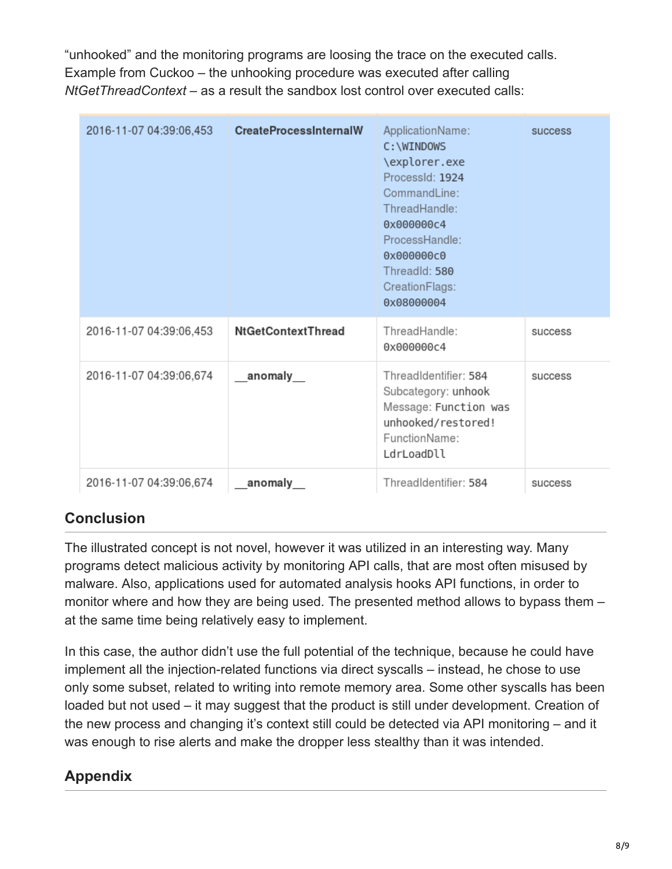"unhooked" and the monitoring programs are loosing the trace on the executed calls. Example from Cuckoo – the unhooking procedure was executed after calling *NtGetThreadContext* – as a result the sandbox lost control over executed calls:

| 2016-11-07 04:39:06,453 | <b>CreateProcessInternalW</b> | ApplicationName:<br>C: \WINDOWS<br>\explorer.exe<br>ProcessId: 1924<br>CommandLine:<br>ThreadHandle:<br>0x000000c4<br>ProcessHandle:<br>0x000000c0<br>ThreadId: 580<br>CreationFlags:<br>0x08000004 | success |
|-------------------------|-------------------------------|-----------------------------------------------------------------------------------------------------------------------------------------------------------------------------------------------------|---------|
| 2016-11-07 04:39:06,453 | NtGetContextThread            | ThreadHandle:<br>0x000000c4                                                                                                                                                                         | success |
| 2016-11-07 04:39:06,674 | anomaly                       | ThreadIdentifier: 584<br>Subcategory: unhook<br>Message: Function was<br>unhooked/restored!<br>FunctionName:<br>LdrLoadDll                                                                          | success |
| 2016-11-07 04:39:06,674 | anomaly                       | ThreadIdentifier: 584                                                                                                                                                                               | success |

# **Conclusion**

The illustrated concept is not novel, however it was utilized in an interesting way. Many programs detect malicious activity by monitoring API calls, that are most often misused by malware. Also, applications used for automated analysis hooks API functions, in order to monitor where and how they are being used. The presented method allows to bypass them – at the same time being relatively easy to implement.

In this case, the author didn't use the full potential of the technique, because he could have implement all the injection-related functions via direct syscalls – instead, he chose to use only some subset, related to writing into remote memory area. Some other syscalls has been loaded but not used – it may suggest that the product is still under development. Creation of the new process and changing it's context still could be detected via API monitoring – and it was enough to rise alerts and make the dropper less stealthy than it was intended.

# **Appendix**